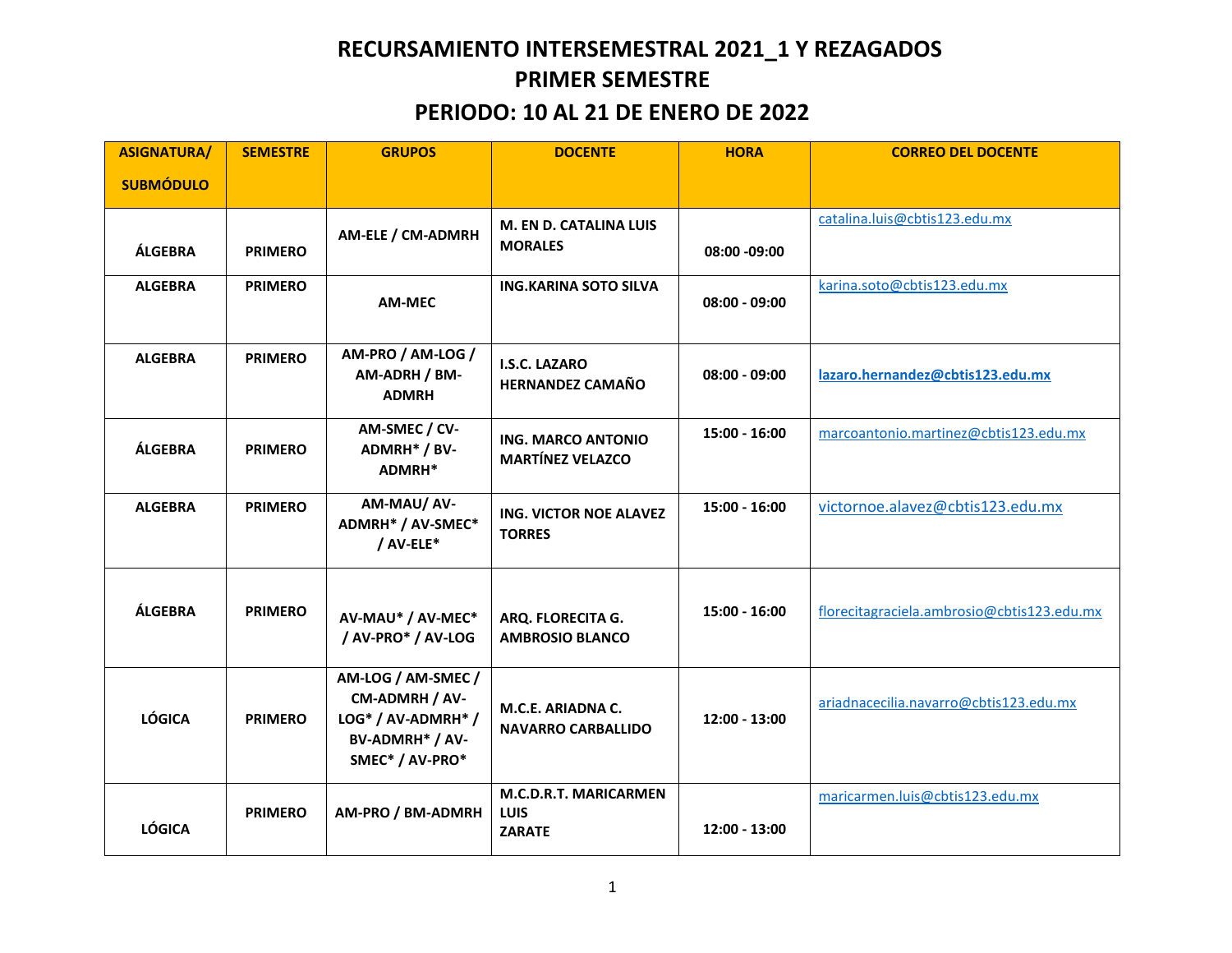## **RECURSAMIENTO INTERSEMESTRAL 2021\_1 Y REZAGADOS PRIMER SEMESTRE**

### **PERIODO: 10 AL 21 DE ENERO DE 2022**

| <b>ASIGNATURA/</b> | <b>SEMESTRE</b> | <b>GRUPOS</b>                                                                                    | <b>DOCENTE</b>                                        | <b>HORA</b>     | <b>CORREO DEL DOCENTE</b>                  |
|--------------------|-----------------|--------------------------------------------------------------------------------------------------|-------------------------------------------------------|-----------------|--------------------------------------------|
| <b>SUBMÓDULO</b>   |                 |                                                                                                  |                                                       |                 |                                            |
| ÁLGEBRA            | <b>PRIMERO</b>  | AM-ELE / CM-ADMRH                                                                                | M. EN D. CATALINA LUIS<br><b>MORALES</b>              | 08:00 -09:00    | catalina.luis@cbtis123.edu.mx              |
| <b>ALGEBRA</b>     | <b>PRIMERO</b>  | AM-MEC                                                                                           | <b>ING.KARINA SOTO SILVA</b>                          | $08:00 - 09:00$ | karina.soto@cbtis123.edu.mx                |
| <b>ALGEBRA</b>     | <b>PRIMERO</b>  | AM-PRO / AM-LOG /<br>AM-ADRH / BM-<br><b>ADMRH</b>                                               | I.S.C. LAZARO<br><b>HERNANDEZ CAMAÑO</b>              | $08:00 - 09:00$ | lazaro.hernandez@cbtis123.edu.mx           |
| ÁLGEBRA            | <b>PRIMERO</b>  | AM-SMEC / CV-<br>ADMRH* / BV-<br>ADMRH*                                                          | <b>ING. MARCO ANTONIO</b><br><b>MARTÍNEZ VELAZCO</b>  | $15:00 - 16:00$ | marcoantonio.martinez@cbtis123.edu.mx      |
| <b>ALGEBRA</b>     | <b>PRIMERO</b>  | AM-MAU/ AV-<br>ADMRH* / AV-SMEC*<br>/ AV-ELE*                                                    | <b>ING. VICTOR NOE ALAVEZ</b><br><b>TORRES</b>        | 15:00 - 16:00   | victornoe.alavez@cbtis123.edu.mx           |
| ÁLGEBRA            | <b>PRIMERO</b>  | AV-MAU* / AV-MEC*<br>/ AV-PRO* / AV-LOG                                                          | ARQ. FLORECITA G.<br><b>AMBROSIO BLANCO</b>           | $15:00 - 16:00$ | florecitagraciela.ambrosio@cbtis123.edu.mx |
| <b>LÓGICA</b>      | <b>PRIMERO</b>  | AM-LOG / AM-SMEC /<br>CM-ADMRH / AV-<br>LOG* / AV-ADMRH* /<br>BV-ADMRH* / AV-<br>SMEC* / AV-PRO* | M.C.E. ARIADNA C.<br><b>NAVARRO CARBALLIDO</b>        | $12:00 - 13:00$ | ariadnacecilia.navarro@cbtis123.edu.mx     |
| <b>LÓGICA</b>      | <b>PRIMERO</b>  | AM-PRO / BM-ADMRH                                                                                | M.C.D.R.T. MARICARMEN<br><b>LUIS</b><br><b>ZARATE</b> | 12:00 - 13:00   | maricarmen.luis@cbtis123.edu.mx            |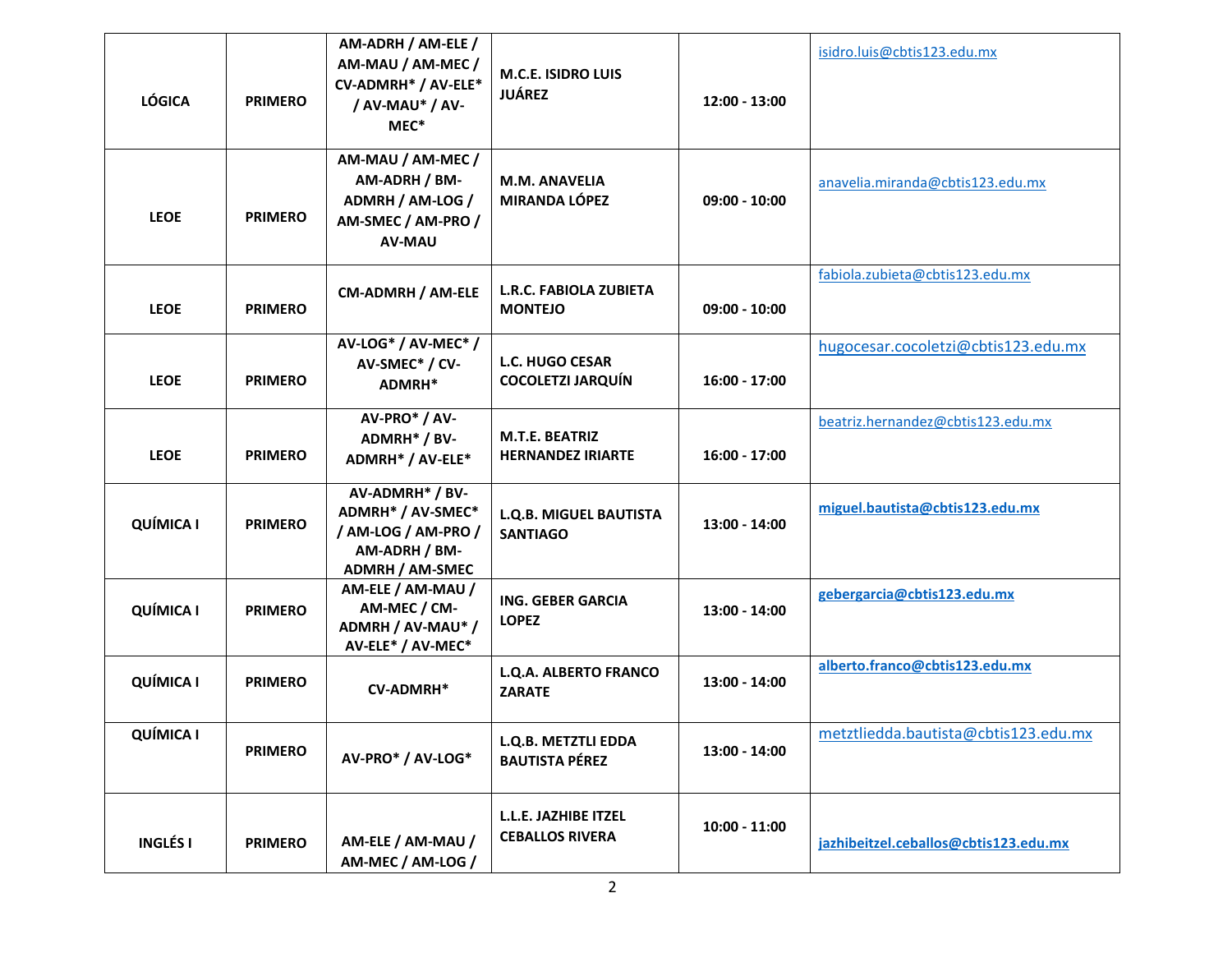| <b>LÓGICA</b>    | <b>PRIMERO</b> | AM-ADRH / AM-ELE /<br>AM-MAU / AM-MEC /<br>CV-ADMRH* / AV-ELE*<br>/ AV-MAU* / AV-<br>MEC*              | <b>M.C.E. ISIDRO LUIS</b><br><b>JUÁREZ</b>         | $12:00 - 13:00$ | isidro.luis@cbtis123.edu.mx           |
|------------------|----------------|--------------------------------------------------------------------------------------------------------|----------------------------------------------------|-----------------|---------------------------------------|
| <b>LEOE</b>      | <b>PRIMERO</b> | AM-MAU / AM-MEC /<br>AM-ADRH / BM-<br>ADMRH / AM-LOG /<br>AM-SMEC / AM-PRO /<br><b>AV-MAU</b>          | M.M. ANAVELIA<br><b>MIRANDA LÓPEZ</b>              | $09:00 - 10:00$ | anavelia.miranda@cbtis123.edu.mx      |
| <b>LEOE</b>      | <b>PRIMERO</b> | CM-ADMRH / AM-ELE                                                                                      | <b>L.R.C. FABIOLA ZUBIETA</b><br><b>MONTEJO</b>    | $09:00 - 10:00$ | fabiola.zubieta@cbtis123.edu.mx       |
| <b>LEOE</b>      | <b>PRIMERO</b> | AV-LOG* / AV-MEC* /<br>AV-SMEC* / CV-<br>ADMRH*                                                        | <b>L.C. HUGO CESAR</b><br><b>COCOLETZI JARQUÍN</b> | $16:00 - 17:00$ | hugocesar.cocoletzi@cbtis123.edu.mx   |
| <b>LEOE</b>      | <b>PRIMERO</b> | AV-PRO* / AV-<br>ADMRH* / BV-<br>ADMRH* / AV-ELE*                                                      | M.T.E. BEATRIZ<br><b>HERNANDEZ IRIARTE</b>         | $16:00 - 17:00$ | beatriz.hernandez@cbtis123.edu.mx     |
| <b>QUÍMICA I</b> | <b>PRIMERO</b> | AV-ADMRH* / BV-<br>ADMRH* / AV-SMEC*<br>/ AM-LOG / AM-PRO /<br>AM-ADRH / BM-<br><b>ADMRH / AM-SMEC</b> | <b>L.Q.B. MIGUEL BAUTISTA</b><br><b>SANTIAGO</b>   | 13:00 - 14:00   | miguel.bautista@cbtis123.edu.mx       |
| <b>QUÍMICA I</b> | <b>PRIMERO</b> | AM-ELE / AM-MAU /<br>AM-MEC / CM-<br>ADMRH / AV-MAU* /<br>AV-ELE* / AV-MEC*                            | ING. GEBER GARCIA<br><b>LOPEZ</b>                  | 13:00 - 14:00   | gebergarcia@cbtis123.edu.mx           |
| <b>QUÍMICA I</b> | <b>PRIMERO</b> | <b>CV-ADMRH*</b>                                                                                       | L.Q.A. ALBERTO FRANCO<br><b>ZARATE</b>             | 13:00 - 14:00   | alberto.franco@cbtis123.edu.mx        |
| <b>QUÍMICA I</b> | <b>PRIMERO</b> | AV-PRO* / AV-LOG*                                                                                      | L.Q.B. METZTLI EDDA<br><b>BAUTISTA PÉREZ</b>       | 13:00 - 14:00   | metztliedda.bautista@cbtis123.edu.mx  |
| <b>INGLÉSI</b>   | <b>PRIMERO</b> | AM-ELE / AM-MAU /<br>AM-MEC / AM-LOG /                                                                 | L.L.E. JAZHIBE ITZEL<br><b>CEBALLOS RIVERA</b>     | $10:00 - 11:00$ | jazhibeitzel.ceballos@cbtis123.edu.mx |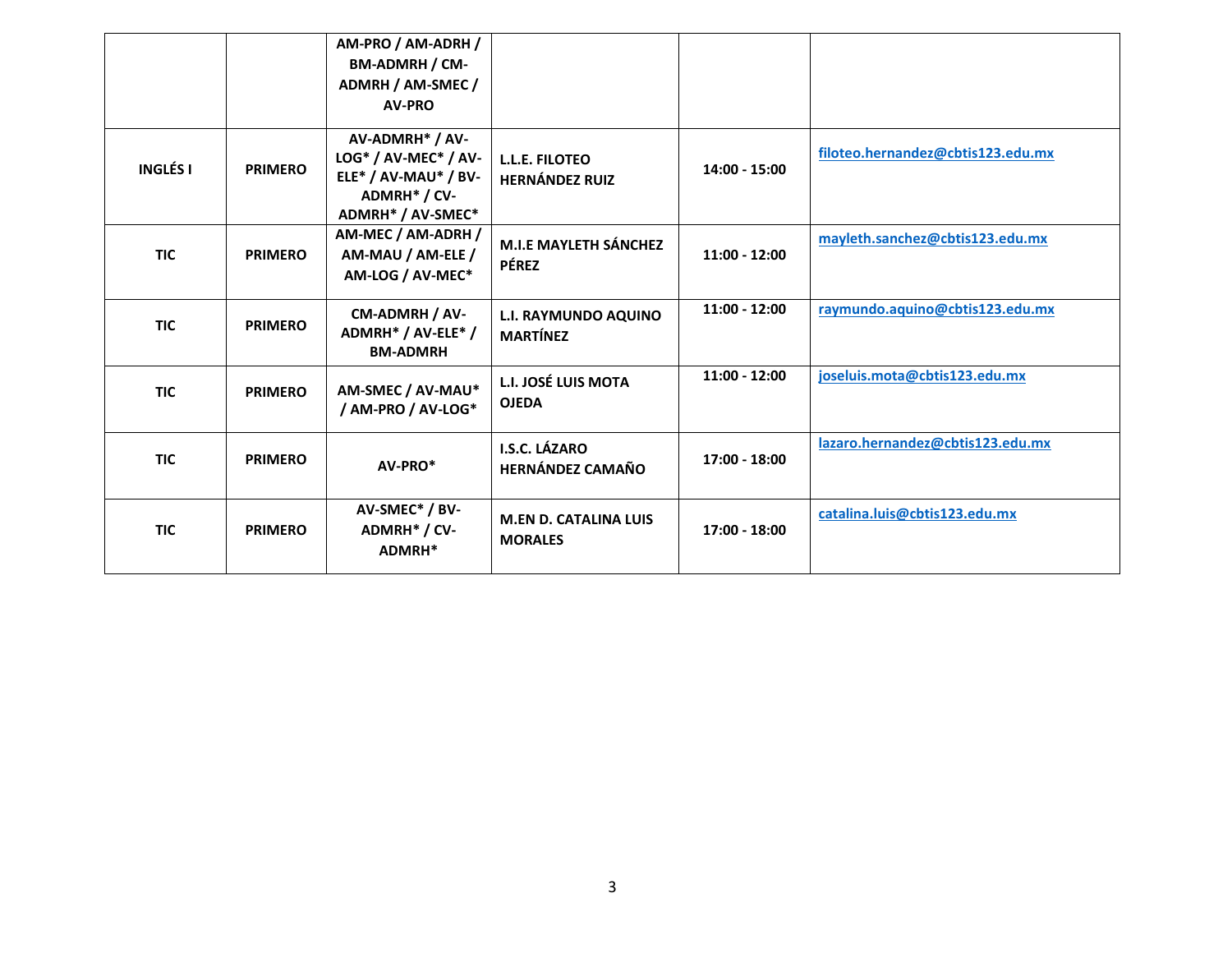|            |                | AM-PRO / AM-ADRH /<br>BM-ADMRH / CM-<br>ADMRH / AM-SMEC /<br><b>AV-PRO</b>                           |                                                |                 |                                   |
|------------|----------------|------------------------------------------------------------------------------------------------------|------------------------------------------------|-----------------|-----------------------------------|
| INGLÉS I   | <b>PRIMERO</b> | AV-ADMRH* / AV-<br>LOG* / AV-MEC* / AV-<br>ELE* / AV-MAU* / BV-<br>ADMRH* / CV-<br>ADMRH* / AV-SMEC* | L.L.E. FILOTEO<br><b>HERNÁNDEZ RUIZ</b>        | 14:00 - 15:00   | filoteo.hernandez@cbtis123.edu.mx |
| <b>TIC</b> | <b>PRIMERO</b> | AM-MEC / AM-ADRH /<br>AM-MAU / AM-ELE /<br>AM-LOG / AV-MEC*                                          | <b>M.I.E MAYLETH SÁNCHEZ</b><br><b>PÉREZ</b>   | $11:00 - 12:00$ | mayleth.sanchez@cbtis123.edu.mx   |
| <b>TIC</b> | <b>PRIMERO</b> | CM-ADMRH / AV-<br>ADMRH* / AV-ELE* /<br><b>BM-ADMRH</b>                                              | <b>L.I. RAYMUNDO AQUINO</b><br><b>MARTÍNEZ</b> | $11:00 - 12:00$ | raymundo.aquino@cbtis123.edu.mx   |
| <b>TIC</b> | <b>PRIMERO</b> | AM-SMEC / AV-MAU*<br>/ AM-PRO / AV-LOG*                                                              | L.I. JOSÉ LUIS MOTA<br><b>OJEDA</b>            | $11:00 - 12:00$ | joseluis.mota@cbtis123.edu.mx     |
| <b>TIC</b> | <b>PRIMERO</b> | AV-PRO*                                                                                              | I.S.C. LÁZARO<br><b>HERNÁNDEZ CAMAÑO</b>       | 17:00 - 18:00   | lazaro.hernandez@cbtis123.edu.mx  |
| <b>TIC</b> | <b>PRIMERO</b> | AV-SMEC* / BV-<br>ADMRH* / CV-<br>ADMRH*                                                             | <b>M.EN D. CATALINA LUIS</b><br><b>MORALES</b> | 17:00 - 18:00   | catalina.luis@cbtis123.edu.mx     |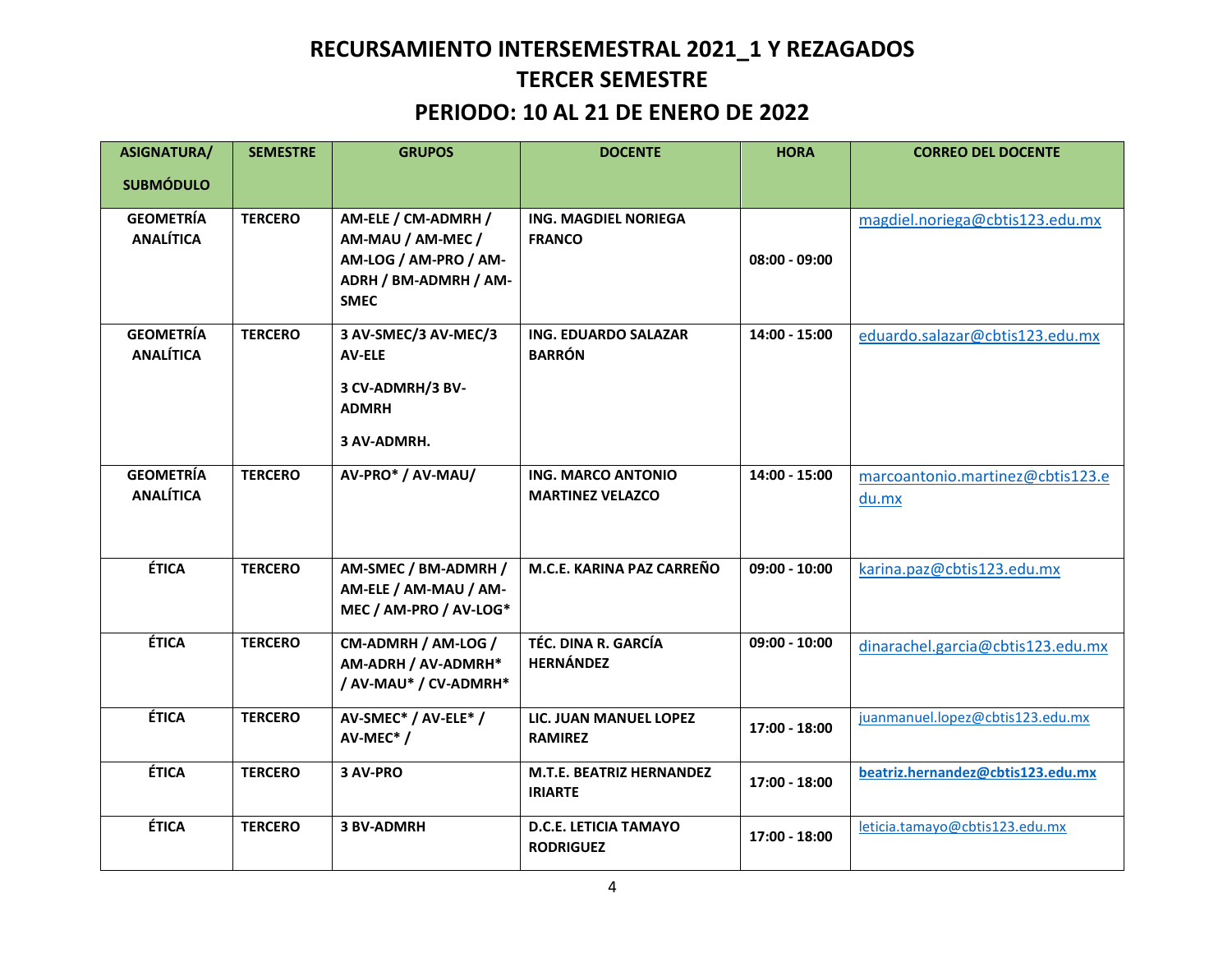# **RECURSAMIENTO INTERSEMESTRAL 2021\_1 Y REZAGADOS TERCER SEMESTRE**

### **PERIODO: 10 AL 21 DE ENERO DE 2022**

| <b>ASIGNATURA/</b>                   | <b>SEMESTRE</b> | <b>GRUPOS</b>                                                                                             | <b>DOCENTE</b>                                       | <b>HORA</b>     | <b>CORREO DEL DOCENTE</b>                 |
|--------------------------------------|-----------------|-----------------------------------------------------------------------------------------------------------|------------------------------------------------------|-----------------|-------------------------------------------|
| <b>SUBMÓDULO</b>                     |                 |                                                                                                           |                                                      |                 |                                           |
| <b>GEOMETRÍA</b><br><b>ANALÍTICA</b> | <b>TERCERO</b>  | AM-ELE / CM-ADMRH /<br>AM-MAU / AM-MEC /<br>AM-LOG / AM-PRO / AM-<br>ADRH / BM-ADMRH / AM-<br><b>SMEC</b> | ING. MAGDIEL NORIEGA<br><b>FRANCO</b>                | $08:00 - 09:00$ | magdiel.noriega@cbtis123.edu.mx           |
| <b>GEOMETRÍA</b><br><b>ANALÍTICA</b> | <b>TERCERO</b>  | 3 AV-SMEC/3 AV-MEC/3<br><b>AV-ELE</b><br>3 CV-ADMRH/3 BV-<br><b>ADMRH</b><br>3 AV-ADMRH.                  | ING. EDUARDO SALAZAR<br><b>BARRÓN</b>                | $14:00 - 15:00$ | eduardo.salazar@cbtis123.edu.mx           |
| <b>GEOMETRÍA</b><br><b>ANALÍTICA</b> | <b>TERCERO</b>  | AV-PRO* / AV-MAU/                                                                                         | <b>ING. MARCO ANTONIO</b><br><b>MARTINEZ VELAZCO</b> | 14:00 - 15:00   | marcoantonio.martinez@cbtis123.e<br>du.mx |
| <b>ÉTICA</b>                         | <b>TERCERO</b>  | AM-SMEC / BM-ADMRH /<br>AM-ELE / AM-MAU / AM-<br>MEC / AM-PRO / AV-LOG*                                   | M.C.E. KARINA PAZ CARREÑO                            | $09:00 - 10:00$ | karina.paz@cbtis123.edu.mx                |
| <b>ÉTICA</b>                         | <b>TERCERO</b>  | CM-ADMRH / AM-LOG /<br>AM-ADRH / AV-ADMRH*<br>/ AV-MAU* / CV-ADMRH*                                       | TÉC. DINA R. GARCÍA<br><b>HERNÁNDEZ</b>              | $09:00 - 10:00$ | dinarachel.garcia@cbtis123.edu.mx         |
| <b>ÉTICA</b>                         | <b>TERCERO</b>  | AV-SMEC* / AV-ELE* /<br>AV-MEC <sup>*</sup> /                                                             | LIC. JUAN MANUEL LOPEZ<br><b>RAMIREZ</b>             | 17:00 - 18:00   | juanmanuel.lopez@cbtis123.edu.mx          |
| <b>ÉTICA</b>                         | <b>TERCERO</b>  | 3 AV-PRO                                                                                                  | M.T.E. BEATRIZ HERNANDEZ<br><b>IRIARTE</b>           | $17:00 - 18:00$ | beatriz.hernandez@cbtis123.edu.mx         |
| <b>ÉTICA</b>                         | <b>TERCERO</b>  | <b>3 BV-ADMRH</b>                                                                                         | <b>D.C.E. LETICIA TAMAYO</b><br><b>RODRIGUEZ</b>     | 17:00 - 18:00   | leticia.tamayo@cbtis123.edu.mx            |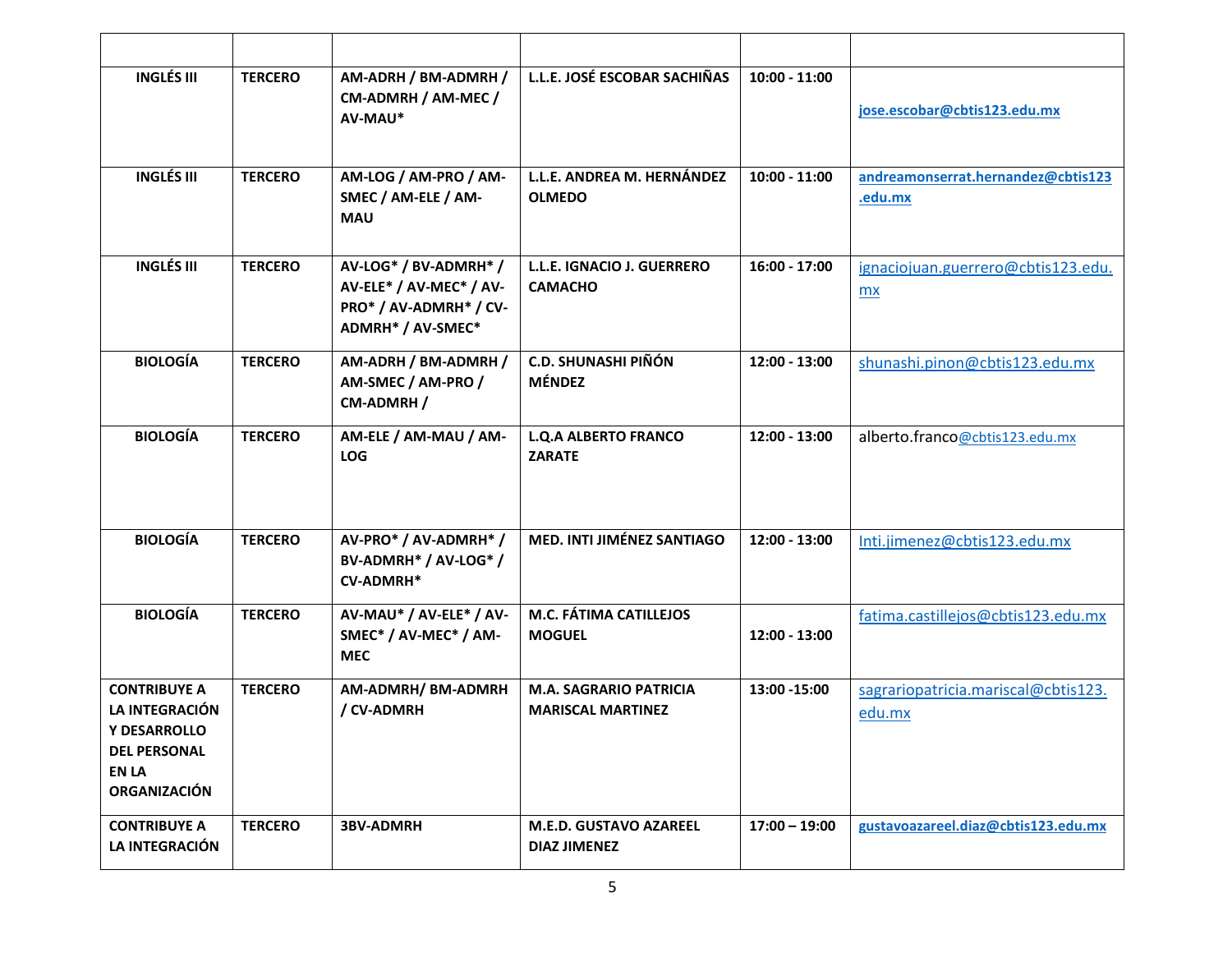| <b>INGLÉS III</b>                                                                                                   | <b>TERCERO</b> | AM-ADRH / BM-ADMRH /<br>CM-ADMRH / AM-MEC /<br>AV-MAU*                                          | L.L.E. JOSÉ ESCOBAR SACHIÑAS                              | $10:00 - 11:00$ | jose.escobar@cbtis123.edu.mx                    |
|---------------------------------------------------------------------------------------------------------------------|----------------|-------------------------------------------------------------------------------------------------|-----------------------------------------------------------|-----------------|-------------------------------------------------|
| <b>INGLÉS III</b>                                                                                                   | <b>TERCERO</b> | AM-LOG / AM-PRO / AM-<br>SMEC / AM-ELE / AM-<br><b>MAU</b>                                      | L.L.E. ANDREA M. HERNÁNDEZ<br><b>OLMEDO</b>               | $10:00 - 11:00$ | andreamonserrat.hernandez@cbtis123<br>.edu.mx   |
| <b>INGLÉS III</b>                                                                                                   | <b>TERCERO</b> | AV-LOG* / BV-ADMRH* /<br>AV-ELE* / AV-MEC* / AV-<br>PRO* / AV-ADMRH* / CV-<br>ADMRH* / AV-SMEC* | L.L.E. IGNACIO J. GUERRERO<br><b>CAMACHO</b>              | 16:00 - 17:00   | ignaciojuan.guerrero@cbtis123.edu.<br><b>mx</b> |
| <b>BIOLOGÍA</b>                                                                                                     | <b>TERCERO</b> | AM-ADRH / BM-ADMRH /<br>AM-SMEC / AM-PRO /<br>CM-ADMRH /                                        | <b>C.D. SHUNASHI PIÑÓN</b><br><b>MÉNDEZ</b>               | 12:00 - 13:00   | shunashi.pinon@cbtis123.edu.mx                  |
| <b>BIOLOGÍA</b>                                                                                                     | <b>TERCERO</b> | AM-ELE / AM-MAU / AM-<br><b>LOG</b>                                                             | <b>L.Q.A ALBERTO FRANCO</b><br><b>ZARATE</b>              | 12:00 - 13:00   | alberto.franco@cbtis123.edu.mx                  |
| <b>BIOLOGÍA</b>                                                                                                     | <b>TERCERO</b> | AV-PRO* / AV-ADMRH* /<br>BV-ADMRH* / AV-LOG* /<br><b>CV-ADMRH*</b>                              | <b>MED. INTI JIMÉNEZ SANTIAGO</b>                         | 12:00 - 13:00   | Inti.jimenez@cbtis123.edu.mx                    |
| <b>BIOLOGÍA</b>                                                                                                     | <b>TERCERO</b> | AV-MAU* / AV-ELE* / AV-<br>SMEC* / AV-MEC* / AM-<br><b>MEC</b>                                  | M.C. FÁTIMA CATILLEJOS<br><b>MOGUEL</b>                   | 12:00 - 13:00   | fatima.castillejos@cbtis123.edu.mx              |
| <b>CONTRIBUYE A</b><br>LA INTEGRACIÓN<br>Y DESARROLLO<br><b>DEL PERSONAL</b><br><b>EN LA</b><br><b>ORGANIZACIÓN</b> | <b>TERCERO</b> | AM-ADMRH/ BM-ADMRH<br>/ CV-ADMRH                                                                | <b>M.A. SAGRARIO PATRICIA</b><br><b>MARISCAL MARTINEZ</b> | 13:00 - 15:00   | sagrariopatricia.mariscal@cbtis123.<br>edu.mx   |
| <b>CONTRIBUYE A</b><br>LA INTEGRACIÓN                                                                               | <b>TERCERO</b> | <b>3BV-ADMRH</b>                                                                                | <b>M.E.D. GUSTAVO AZAREEL</b><br><b>DIAZ JIMENEZ</b>      | $17:00 - 19:00$ | gustavoazareel.diaz@cbtis123.edu.mx             |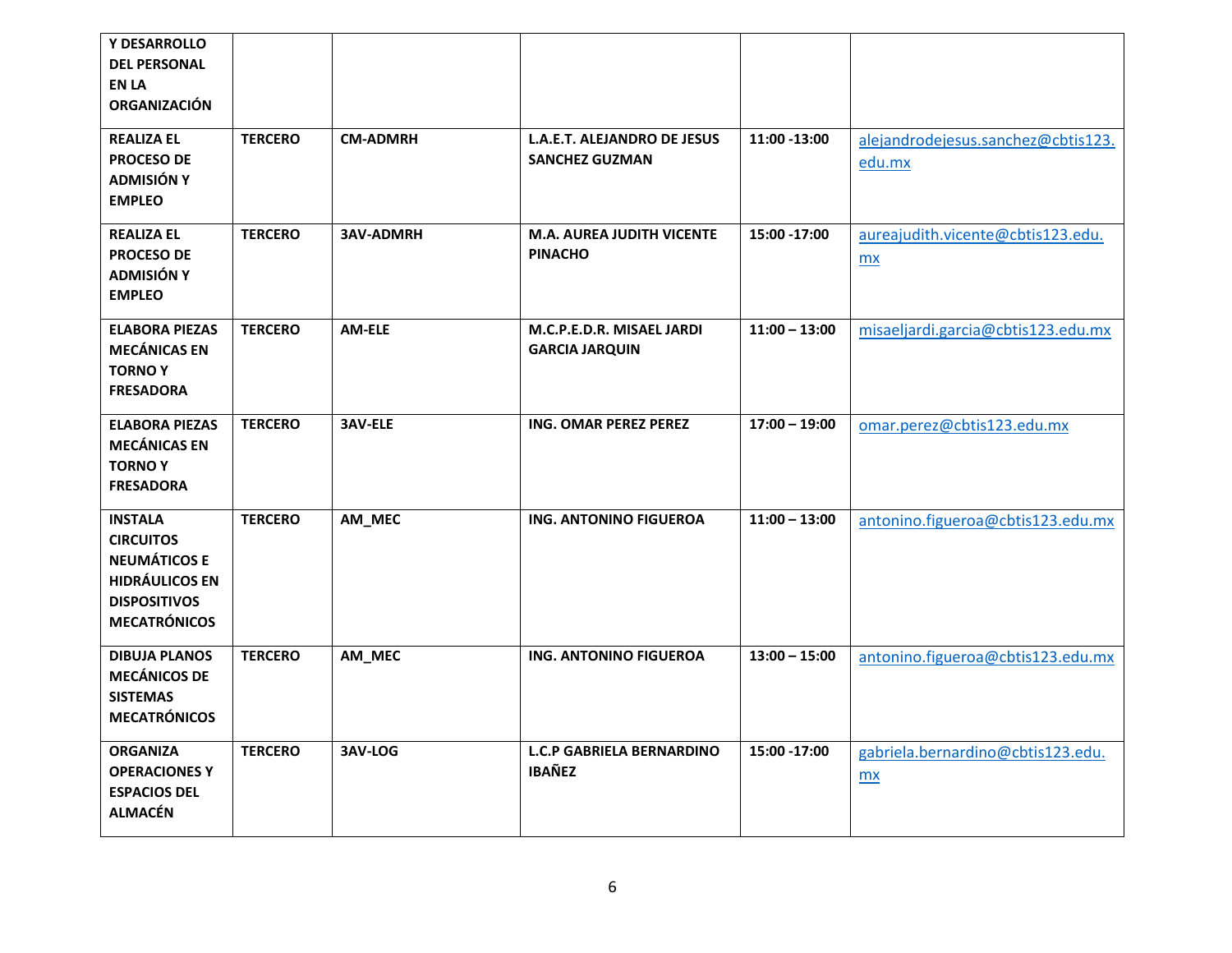| Y DESARROLLO<br><b>DEL PERSONAL</b><br><b>EN LA</b><br><b>ORGANIZACIÓN</b>                                                       |                |                  |                                                      |                 |                                                |
|----------------------------------------------------------------------------------------------------------------------------------|----------------|------------------|------------------------------------------------------|-----------------|------------------------------------------------|
| <b>REALIZA EL</b><br><b>PROCESO DE</b><br><b>ADMISIÓN Y</b><br><b>EMPLEO</b>                                                     | <b>TERCERO</b> | <b>CM-ADMRH</b>  | L.A.E.T. ALEJANDRO DE JESUS<br><b>SANCHEZ GUZMAN</b> | 11:00 -13:00    | alejandrodejesus.sanchez@cbtis123.<br>edu.mx   |
| <b>REALIZA EL</b><br><b>PROCESO DE</b><br><b>ADMISIÓN Y</b><br><b>EMPLEO</b>                                                     | <b>TERCERO</b> | <b>3AV-ADMRH</b> | <b>M.A. AUREA JUDITH VICENTE</b><br><b>PINACHO</b>   | 15:00 -17:00    | aureajudith.vicente@cbtis123.edu.<br><b>mx</b> |
| <b>ELABORA PIEZAS</b><br><b>MECÁNICAS EN</b><br><b>TORNOY</b><br><b>FRESADORA</b>                                                | <b>TERCERO</b> | AM-ELE           | M.C.P.E.D.R. MISAEL JARDI<br><b>GARCIA JARQUIN</b>   | $11:00 - 13:00$ | misaeljardi.garcia@cbtis123.edu.mx             |
| <b>ELABORA PIEZAS</b><br><b>MECÁNICAS EN</b><br><b>TORNOY</b><br><b>FRESADORA</b>                                                | <b>TERCERO</b> | <b>3AV-ELE</b>   | ING. OMAR PEREZ PEREZ                                | $17:00 - 19:00$ | omar.perez@cbtis123.edu.mx                     |
| <b>INSTALA</b><br><b>CIRCUITOS</b><br><b>NEUMÁTICOS E</b><br><b>HIDRÁULICOS EN</b><br><b>DISPOSITIVOS</b><br><b>MECATRÓNICOS</b> | <b>TERCERO</b> | AM_MEC           | ING. ANTONINO FIGUEROA                               | $11:00 - 13:00$ | antonino.figueroa@cbtis123.edu.mx              |
| <b>DIBUJA PLANOS</b><br><b>MECÁNICOS DE</b><br><b>SISTEMAS</b><br><b>MECATRÓNICOS</b>                                            | <b>TERCERO</b> | AM_MEC           | ING. ANTONINO FIGUEROA                               | $13:00 - 15:00$ | antonino.figueroa@cbtis123.edu.mx              |
| <b>ORGANIZA</b><br><b>OPERACIONES Y</b><br><b>ESPACIOS DEL</b><br><b>ALMACÉN</b>                                                 | <b>TERCERO</b> | 3AV-LOG          | <b>L.C.P GABRIELA BERNARDINO</b><br><b>IBAÑEZ</b>    | 15:00 -17:00    | gabriela.bernardino@cbtis123.edu.<br>mx        |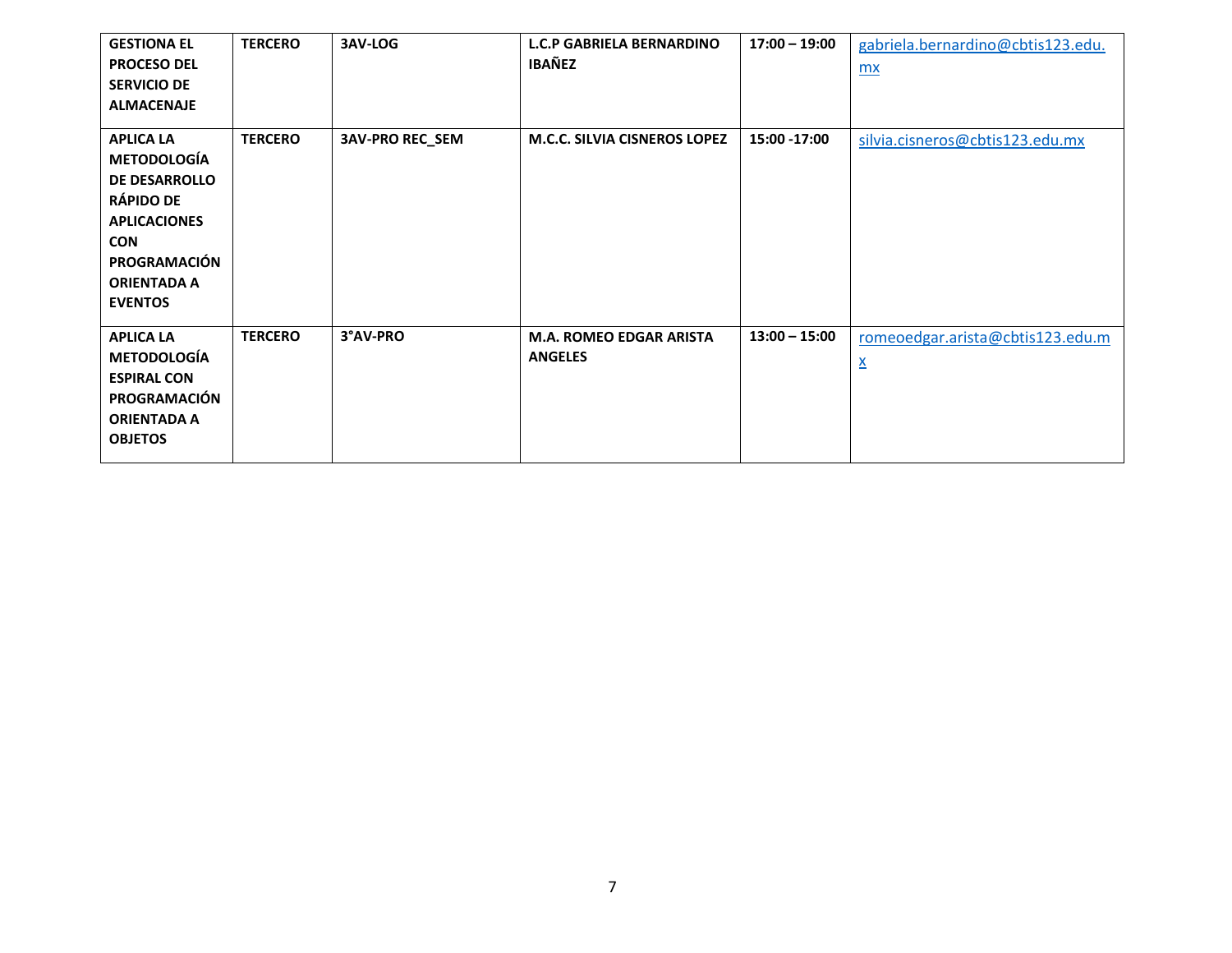| <b>GESTIONA EL</b><br><b>PROCESO DEL</b><br><b>SERVICIO DE</b><br><b>ALMACENAJE</b>                                                                                             | <b>TERCERO</b> | 3AV-LOG                | <b>L.C.P GABRIELA BERNARDINO</b><br><b>IBAÑEZ</b> | $17:00 - 19:00$ | gabriela.bernardino@cbtis123.edu.<br>mx                      |
|---------------------------------------------------------------------------------------------------------------------------------------------------------------------------------|----------------|------------------------|---------------------------------------------------|-----------------|--------------------------------------------------------------|
| <b>APLICA LA</b><br><b>METODOLOGÍA</b><br><b>DE DESARROLLO</b><br><b>RÁPIDO DE</b><br><b>APLICACIONES</b><br><b>CON</b><br>PROGRAMACIÓN<br><b>ORIENTADA A</b><br><b>EVENTOS</b> | <b>TERCERO</b> | <b>3AV-PRO REC_SEM</b> | <b>M.C.C. SILVIA CISNEROS LOPEZ</b>               | 15:00 -17:00    | silvia.cisneros@cbtis123.edu.mx                              |
| <b>APLICA LA</b><br><b>METODOLOGÍA</b><br><b>ESPIRAL CON</b><br>PROGRAMACIÓN<br><b>ORIENTADA A</b><br><b>OBJETOS</b>                                                            | <b>TERCERO</b> | 3°AV-PRO               | <b>M.A. ROMEO EDGAR ARISTA</b><br><b>ANGELES</b>  | $13:00 - 15:00$ | romeoedgar.arista@cbtis123.edu.m<br>$\underline{\mathsf{X}}$ |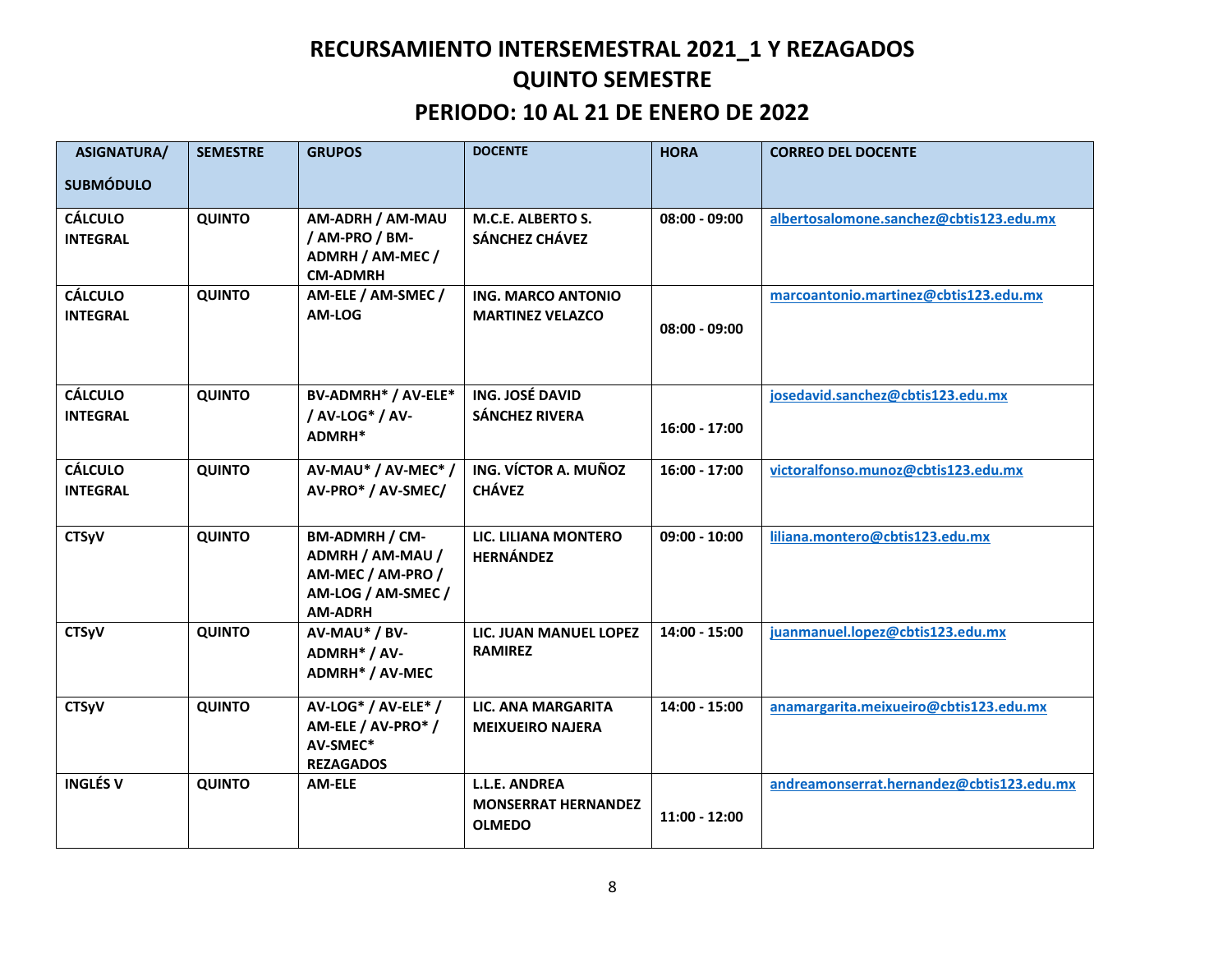## **RECURSAMIENTO INTERSEMESTRAL 2021\_1 Y REZAGADOS QUINTO SEMESTRE**

### **PERIODO: 10 AL 21 DE ENERO DE 2022**

| <b>ASIGNATURA/</b><br><b>SUBMÓDULO</b> | <b>SEMESTRE</b> | <b>GRUPOS</b>                                                                                   | <b>DOCENTE</b>                                                      | <b>HORA</b>     | <b>CORREO DEL DOCENTE</b>                 |
|----------------------------------------|-----------------|-------------------------------------------------------------------------------------------------|---------------------------------------------------------------------|-----------------|-------------------------------------------|
| <b>CÁLCULO</b><br><b>INTEGRAL</b>      | <b>QUINTO</b>   | AM-ADRH / AM-MAU<br>/ AM-PRO / BM-<br>ADMRH / AM-MEC /<br><b>CM-ADMRH</b>                       | M.C.E. ALBERTO S.<br>SÁNCHEZ CHÁVEZ                                 | $08:00 - 09:00$ | albertosalomone.sanchez@cbtis123.edu.mx   |
| <b>CÁLCULO</b><br><b>INTEGRAL</b>      | <b>QUINTO</b>   | AM-ELE / AM-SMEC /<br>AM-LOG                                                                    | <b>ING. MARCO ANTONIO</b><br><b>MARTINEZ VELAZCO</b>                | $08:00 - 09:00$ | marcoantonio.martinez@cbtis123.edu.mx     |
| <b>CÁLCULO</b><br><b>INTEGRAL</b>      | <b>QUINTO</b>   | BV-ADMRH* / AV-ELE*<br>/ AV-LOG* / AV-<br>ADMRH*                                                | ING. JOSÉ DAVID<br><b>SÁNCHEZ RIVERA</b>                            | $16:00 - 17:00$ | josedavid.sanchez@cbtis123.edu.mx         |
| <b>CÁLCULO</b><br><b>INTEGRAL</b>      | <b>QUINTO</b>   | AV-MAU* / AV-MEC* /<br>AV-PRO* / AV-SMEC/                                                       | ING. VÍCTOR A. MUÑOZ<br><b>CHÁVEZ</b>                               | $16:00 - 17:00$ | victoralfonso.munoz@cbtis123.edu.mx       |
| <b>CTSyV</b>                           | <b>QUINTO</b>   | BM-ADMRH / CM-<br>ADMRH / AM-MAU /<br>AM-MEC / AM-PRO /<br>AM-LOG / AM-SMEC /<br><b>AM-ADRH</b> | LIC. LILIANA MONTERO<br><b>HERNÁNDEZ</b>                            | $09:00 - 10:00$ | liliana.montero@cbtis123.edu.mx           |
| <b>CTSyV</b>                           | <b>QUINTO</b>   | AV-MAU* / BV-<br>ADMRH* / AV-<br>ADMRH* / AV-MEC                                                | LIC. JUAN MANUEL LOPEZ<br><b>RAMIREZ</b>                            | 14:00 - 15:00   | juanmanuel.lopez@cbtis123.edu.mx          |
| <b>CTSyV</b>                           | <b>QUINTO</b>   | AV-LOG* / AV-ELE* /<br>AM-ELE / AV-PRO <sup>*</sup> /<br>AV-SMEC*<br><b>REZAGADOS</b>           | LIC. ANA MARGARITA<br><b>MEIXUEIRO NAJERA</b>                       | 14:00 - 15:00   | anamargarita.meixueiro@cbtis123.edu.mx    |
| <b>INGLÉS V</b>                        | <b>QUINTO</b>   | AM-ELE                                                                                          | <b>L.L.E. ANDREA</b><br><b>MONSERRAT HERNANDEZ</b><br><b>OLMEDO</b> | $11:00 - 12:00$ | andreamonserrat.hernandez@cbtis123.edu.mx |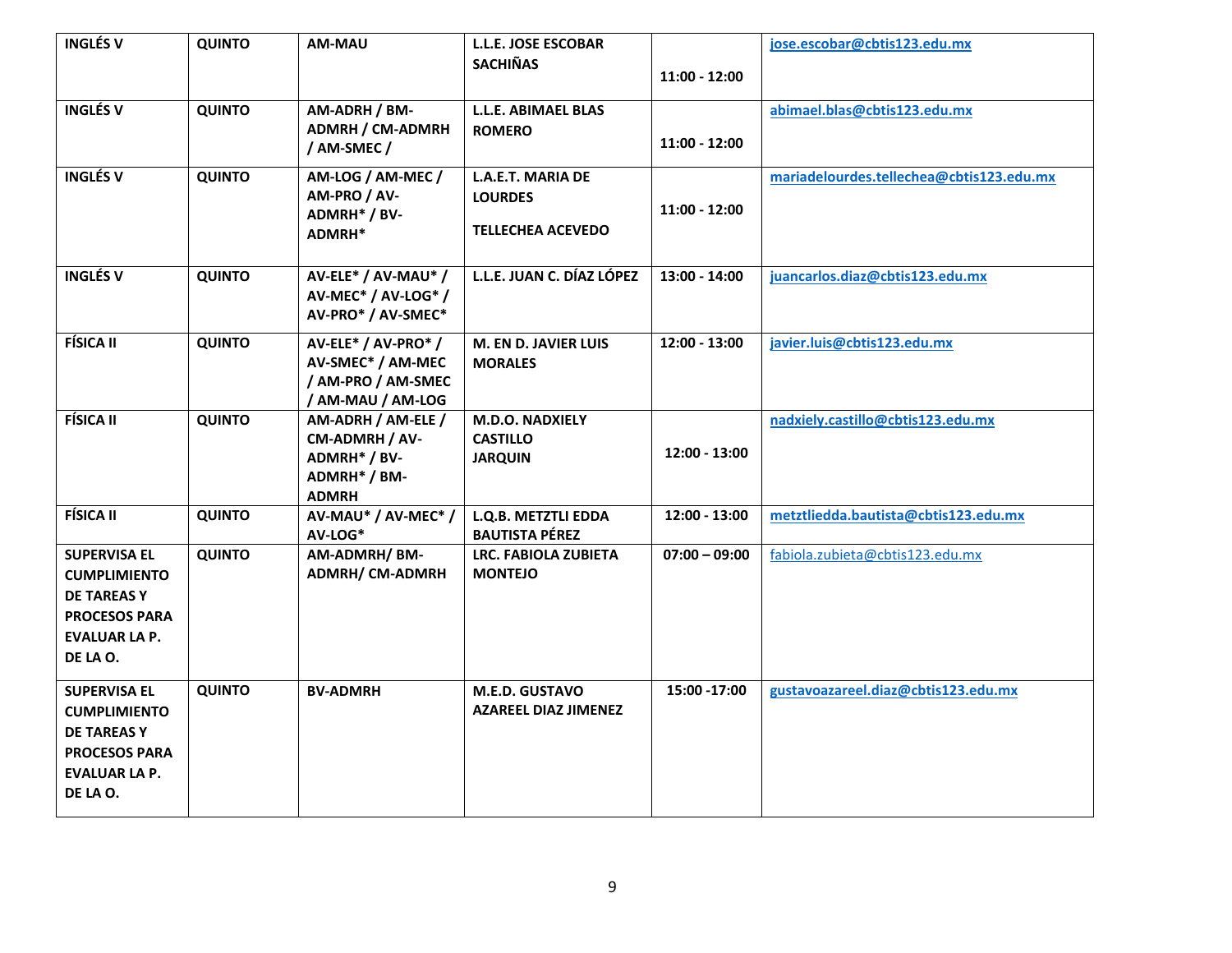| <b>INGLÉS V</b>                                                                                                             | <b>QUINTO</b> | AM-MAU                                                                               | <b>L.L.E. JOSE ESCOBAR</b><br><b>SACHIÑAS</b>                   | $11:00 - 12:00$ | jose.escobar@cbtis123.edu.mx             |
|-----------------------------------------------------------------------------------------------------------------------------|---------------|--------------------------------------------------------------------------------------|-----------------------------------------------------------------|-----------------|------------------------------------------|
| <b>INGLÉS V</b>                                                                                                             | <b>QUINTO</b> | AM-ADRH / BM-<br><b>ADMRH / CM-ADMRH</b><br>/ AM-SMEC /                              | L.L.E. ABIMAEL BLAS<br><b>ROMERO</b>                            | $11:00 - 12:00$ | abimael.blas@cbtis123.edu.mx             |
| <b>INGLÉS V</b>                                                                                                             | <b>QUINTO</b> | AM-LOG / AM-MEC /<br>AM-PRO / AV-<br>ADMRH* / BV-<br>ADMRH*                          | L.A.E.T. MARIA DE<br><b>LOURDES</b><br><b>TELLECHEA ACEVEDO</b> | $11:00 - 12:00$ | mariadelourdes.tellechea@cbtis123.edu.mx |
| <b>INGLÉS V</b>                                                                                                             | <b>QUINTO</b> | AV-ELE* / AV-MAU* /<br>AV-MEC* / AV-LOG* /<br>AV-PRO* / AV-SMEC*                     | L.L.E. JUAN C. DÍAZ LÓPEZ                                       | 13:00 - 14:00   | juancarlos.diaz@cbtis123.edu.mx          |
| <b>FÍSICA II</b>                                                                                                            | <b>QUINTO</b> | AV-ELE* / AV-PRO* /<br>AV-SMEC* / AM-MEC<br>/ AM-PRO / AM-SMEC<br>/ AM-MAU / AM-LOG  | <b>M. EN D. JAVIER LUIS</b><br><b>MORALES</b>                   | $12:00 - 13:00$ | javier.luis@cbtis123.edu.mx              |
| <b>FÍSICA II</b>                                                                                                            | <b>QUINTO</b> | AM-ADRH / AM-ELE /<br>CM-ADMRH / AV-<br>ADMRH* / BV-<br>ADMRH* / BM-<br><b>ADMRH</b> | M.D.O. NADXIELY<br><b>CASTILLO</b><br><b>JARQUIN</b>            | 12:00 - 13:00   | nadxiely.castillo@cbtis123.edu.mx        |
| <b>FÍSICA II</b>                                                                                                            | <b>QUINTO</b> | AV-MAU* / AV-MEC* /<br>AV-LOG*                                                       | L.Q.B. METZTLI EDDA<br><b>BAUTISTA PÉREZ</b>                    | 12:00 - 13:00   | metztliedda.bautista@cbtis123.edu.mx     |
| <b>SUPERVISA EL</b><br><b>CUMPLIMIENTO</b><br><b>DE TAREASY</b><br><b>PROCESOS PARA</b><br><b>EVALUAR LA P.</b><br>DE LA O. | <b>QUINTO</b> | AM-ADMRH/BM-<br><b>ADMRH/ CM-ADMRH</b>                                               | <b>LRC. FABIOLA ZUBIETA</b><br><b>MONTEJO</b>                   | $07:00 - 09:00$ | fabiola.zubieta@cbtis123.edu.mx          |
| <b>SUPERVISA EL</b><br><b>CUMPLIMIENTO</b><br><b>DE TAREASY</b><br><b>PROCESOS PARA</b><br><b>EVALUAR LA P.</b><br>DE LA O. | <b>QUINTO</b> | <b>BV-ADMRH</b>                                                                      | M.E.D. GUSTAVO<br><b>AZAREEL DIAZ JIMENEZ</b>                   | 15:00 - 17:00   | gustavoazareel.diaz@cbtis123.edu.mx      |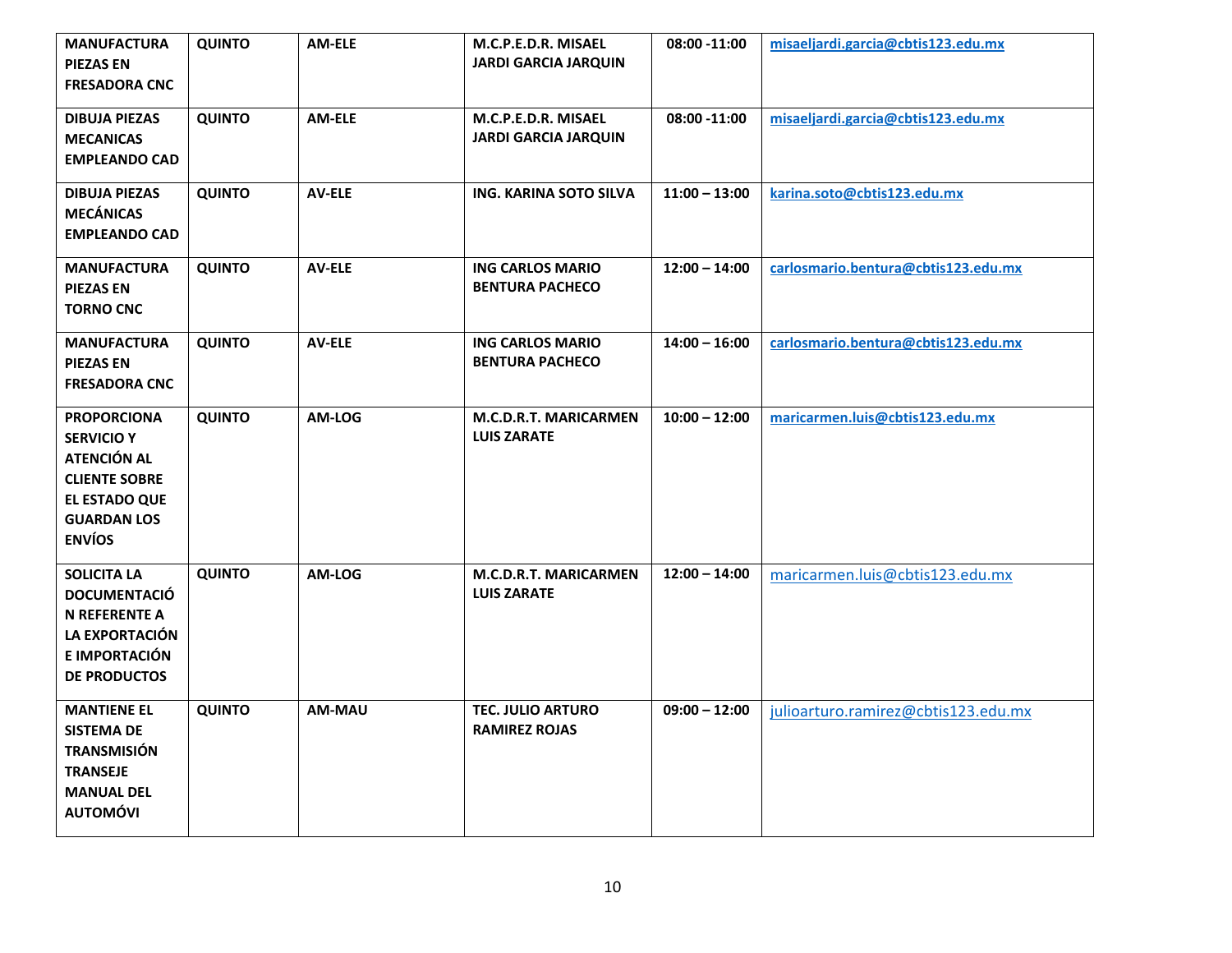| <b>MANUFACTURA</b><br><b>PIEZAS EN</b><br><b>FRESADORA CNC</b>                                                                                | <b>QUINTO</b> | AM-ELE        | M.C.P.E.D.R. MISAEL<br><b>JARDI GARCIA JARQUIN</b> | 08:00 -11:00    | misaeljardi.garcia@cbtis123.edu.mx  |
|-----------------------------------------------------------------------------------------------------------------------------------------------|---------------|---------------|----------------------------------------------------|-----------------|-------------------------------------|
| <b>DIBUJA PIEZAS</b><br><b>MECANICAS</b><br><b>EMPLEANDO CAD</b>                                                                              | QUINTO        | <b>AM-ELE</b> | M.C.P.E.D.R. MISAEL<br><b>JARDI GARCIA JARQUIN</b> | 08:00 -11:00    | misaeljardi.garcia@cbtis123.edu.mx  |
| <b>DIBUJA PIEZAS</b><br><b>MECÁNICAS</b><br><b>EMPLEANDO CAD</b>                                                                              | <b>QUINTO</b> | <b>AV-ELE</b> | ING. KARINA SOTO SILVA                             | $11:00 - 13:00$ | karina.soto@cbtis123.edu.mx         |
| <b>MANUFACTURA</b><br><b>PIEZAS EN</b><br><b>TORNO CNC</b>                                                                                    | <b>QUINTO</b> | <b>AV-ELE</b> | <b>ING CARLOS MARIO</b><br><b>BENTURA PACHECO</b>  | $12:00 - 14:00$ | carlosmario.bentura@cbtis123.edu.mx |
| <b>MANUFACTURA</b><br><b>PIEZAS EN</b><br><b>FRESADORA CNC</b>                                                                                | <b>QUINTO</b> | <b>AV-ELE</b> | <b>ING CARLOS MARIO</b><br><b>BENTURA PACHECO</b>  | $14:00 - 16:00$ | carlosmario.bentura@cbtis123.edu.mx |
| <b>PROPORCIONA</b><br><b>SERVICIO Y</b><br><b>ATENCIÓN AL</b><br><b>CLIENTE SOBRE</b><br>EL ESTADO QUE<br><b>GUARDAN LOS</b><br><b>ENVÍOS</b> | QUINTO        | AM-LOG        | <b>M.C.D.R.T. MARICARMEN</b><br><b>LUIS ZARATE</b> | $10:00 - 12:00$ | maricarmen.luis@cbtis123.edu.mx     |
| <b>SOLICITA LA</b><br><b>DOCUMENTACIÓ</b><br><b>N REFERENTE A</b><br>LA EXPORTACIÓN<br>E IMPORTACIÓN<br><b>DE PRODUCTOS</b>                   | <b>QUINTO</b> | AM-LOG        | <b>M.C.D.R.T. MARICARMEN</b><br><b>LUIS ZARATE</b> | $12:00 - 14:00$ | maricarmen.luis@cbtis123.edu.mx     |
| <b>MANTIENE EL</b><br><b>SISTEMA DE</b><br><b>TRANSMISIÓN</b><br><b>TRANSEJE</b><br><b>MANUAL DEL</b><br><b>AUTOMÓVI</b>                      | QUINTO        | AM-MAU        | <b>TEC. JULIO ARTURO</b><br><b>RAMIREZ ROJAS</b>   | $09:00 - 12:00$ | julioarturo.ramirez@cbtis123.edu.mx |